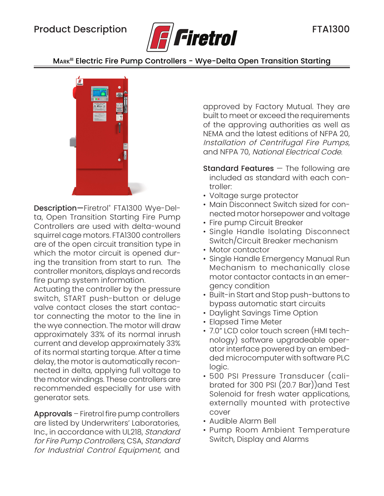

MARK<sup>III</sup> Electric Fire Pump Controllers - Wye-Delta Open Transition Starting



Description—Firetrol® FTA1300 Wye-Delta, Open Transition Starting Fire Pump Controllers are used with delta-wound squirrel cage motors. FTA1300 controllers are of the open circuit transition type in which the motor circuit is opened during the transition from start to run. The controller monitors, displays and records fire pump system information.

Actuating the controller by the pressure switch, START push-button or deluge valve contact closes the start contactor connecting the motor to the line in the wye connection. The motor will draw approximately 33% of its normal inrush current and develop approximately 33% of its normal starting torque. After a time delay, the motor is automatically reconnected in delta, applying full voltage to the motor windings. These controllers are recommended especially for use with generator sets.

Approvals – Firetrol fire pump controllers are listed by Underwriters' Laboratories, Inc., in accordance with UL218, Standard for Fire Pump Controllers, CSA, Standard for Industrial Control Equipment, and

approved by Factory Mutual. They are built to meet or exceed the requirements of the approving authorities as well as NEMA and the latest editions of NFPA 20, Installation of Centrifugal Fire Pumps, and NFPA 70, National Electrical Code.

- **Standard Features**  $-$  The following are included as standard with each controller:
- Voltage surge protector
- Main Disconnect Switch sized for connected motor horsepower and voltage
- Fire pump Circuit Breaker
- Single Handle Isolating Disconnect Switch/Circuit Breaker mechanism
- Motor contactor
- Single Handle Emergency Manual Run Mechanism to mechanically close motor contactor contacts in an emergency condition
- Built-in Start and Stop push-buttons to bypass automatic start circuits
- Daylight Savings Time Option
- Elapsed Time Meter
- 7.0" LCD color touch screen (HMI technology) software upgradeable operator interface powered by an embedded microcomputer with software PLC logic.
- 500 PSI Pressure Transducer (calibrated for 300 PSI (20.7 Bar))and Test Solenoid for fresh water applications, externally mounted with protective cover
- Audible Alarm Bell
- Pump Room Ambient Temperature Switch, Display and Alarms